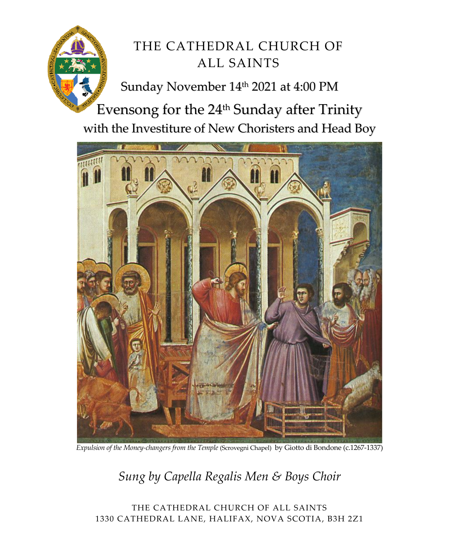

# THE CATHEDRAL CHURCH OF ALL SAINTS

Sunday November 14<sup>th</sup> 2021 at 4:00 PM

Evensong for the 24<sup>th</sup> Sunday after Trinity with the Investiture of New Choristers and Head Boy



*Expulsion of the Money‐changers from the Temple* (Scrovegni Chapel) by Giotto di Bondone (c.1267‐1337)

*Sung by Capella Regalis Men & Boys Choir* 

THE CATHEDRAL CHURCH OF ALL SAINTS 1330 CATHEDRAL LANE, HALIFAX, NOVA SCOTIA, B3H 2Z1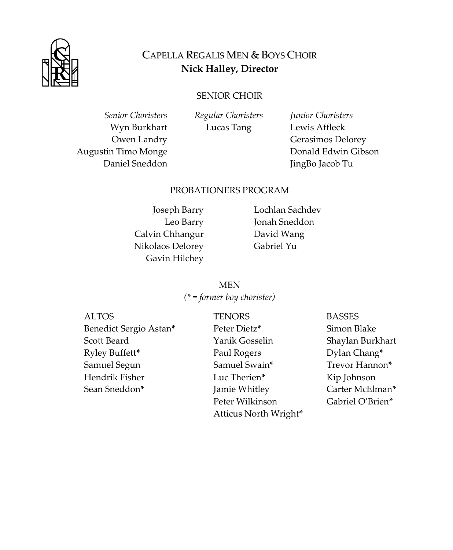

### CAPELLA REGALIS MEN & BOYS CHOIR **Nick Halley, Director**

#### SENIOR CHOIR

*Senior Choristers*  Wyn Burkhart Owen Landry Augustin Timo Monge Daniel Sneddon

*Regular Choristers* Lucas Tang

*Junior Choristers*  Lewis Affleck Gerasimos Delorey Donald Edwin Gibson JingBo Jacob Tu

#### PROBATIONERS PROGRAM

Joseph Barry Leo Barry Calvin Chhangur Nikolaos Delorey Gavin Hilchey

Lochlan Sachdev Jonah Sneddon David Wang Gabriel Yu

**MEN** *(\* = former boy chorister)*

| <b>ALTOS</b>           | <b>TENORS</b>         | <b>BASSES</b>    |
|------------------------|-----------------------|------------------|
| Benedict Sergio Astan* | Peter Dietz*          | Simon Blake      |
| Scott Beard            | Yanik Gosselin        | Shaylan Burkhart |
| Ryley Buffett*         | Paul Rogers           | Dylan Chang*     |
| Samuel Segun           | Samuel Swain*         | Trevor Hannon*   |
| Hendrik Fisher         | Luc Therien*          | Kip Johnson      |
| Sean Sneddon*          | Jamie Whitley         | Carter McElman*  |
|                        | Peter Wilkinson       | Gabriel O'Brien* |
|                        | Atticus North Wright* |                  |
|                        |                       |                  |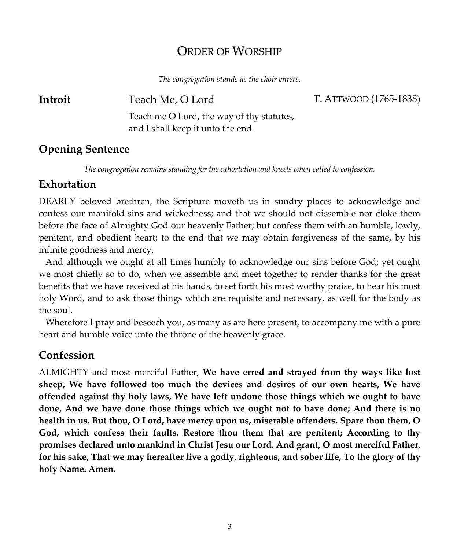## ORDER OF WORSHIP

*The congregation stands as the choir enters.*

**Introit** Teach Me, O Lord T. ATTWOOD (1765‐1838)

Teach me O Lord, the way of thy statutes, and I shall keep it unto the end.

#### **Opening Sentence**

*The congregation remains standing for the exhortation and kneels when called to confession.*

#### **Exhortation**

DEARLY beloved brethren, the Scripture moveth us in sundry places to acknowledge and confess our manifold sins and wickedness; and that we should not dissemble nor cloke them before the face of Almighty God our heavenly Father; but confess them with an humble, lowly, penitent, and obedient heart; to the end that we may obtain forgiveness of the same, by his infinite goodness and mercy.

 And although we ought at all times humbly to acknowledge our sins before God; yet ought we most chiefly so to do, when we assemble and meet together to render thanks for the great benefits that we have received at his hands, to set forth his most worthy praise, to hear his most holy Word, and to ask those things which are requisite and necessary, as well for the body as the soul.

 Wherefore I pray and beseech you, as many as are here present, to accompany me with a pure heart and humble voice unto the throne of the heavenly grace.

#### **Confession**

ALMIGHTY and most merciful Father, **We have erred and strayed from thy ways like lost sheep, We have followed too much the devices and desires of our own hearts, We have offended against thy holy laws, We have left undone those things which we ought to have done, And we have done those things which we ought not to have done; And there is no health in us. But thou, O Lord, have mercy upon us, miserable offenders. Spare thou them, O God, which confess their faults. Restore thou them that are penitent; According to thy promises declared unto mankind in Christ Jesu our Lord. And grant, O most merciful Father,** for his sake, That we may hereafter live a godly, righteous, and sober life, To the glory of thy **holy Name. Amen.**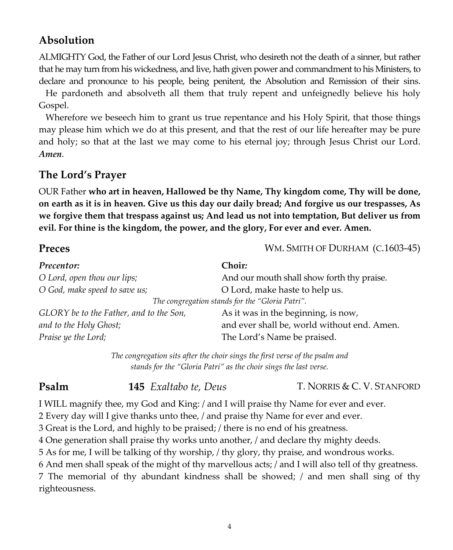## **Absolution**

ALMIGHTY God, the Father of our Lord Jesus Christ, who desireth not the death of a sinner, but rather that he may turn from his wickedness, and live, hath given power and commandment to his Ministers, to declare and pronounce to his people, being penitent, the Absolution and Remission of their sins.

 He pardoneth and absolveth all them that truly repent and unfeignedly believe his holy Gospel.

 Wherefore we beseech him to grant us true repentance and his Holy Spirit, that those things may please him which we do at this present, and that the rest of our life hereafter may be pure and holy; so that at the last we may come to his eternal joy; through Jesus Christ our Lord. *Amen*.

#### **The Lord's Prayer**

OUR Father **who art in heaven, Hallowed be thy Name, Thy kingdom come, Thy will be done,** on earth as it is in heaven. Give us this day our daily bread; And forgive us our trespasses, As **we forgive them that trespass against us; And lead us not into temptation, But deliver us from evil. For thine is the kingdom, the power, and the glory, For ever and ever. Amen.**

| Preces                                  | WM. SMITH OF DURHAM (C.1603-45)                 |  |
|-----------------------------------------|-------------------------------------------------|--|
| Precentor:                              | Choir:                                          |  |
| O Lord, open thou our lips;             | And our mouth shall show forth thy praise.      |  |
| O God, make speed to save us;           | O Lord, make haste to help us.                  |  |
|                                         | The congregation stands for the "Gloria Patri". |  |
| GLORY be to the Father, and to the Son, | As it was in the beginning, is now,             |  |
| and to the Holy Ghost;                  | and ever shall be, world without end. Amen.     |  |
| Praise ye the Lord;                     | The Lord's Name be praised.                     |  |

*The congregation sits after the choir sings the first verse of the psalm and stands for the "Gloria Patri" as the choir sings the last verse.*

#### **Psalm 145** *Exaltabo te, Deus* T. NORRIS & C. V. STANFORD

I WILL magnify thee, my God and King: / and I will praise thy Name for ever and ever.

2 Every day will I give thanks unto thee, / and praise thy Name for ever and ever.

3 Great is the Lord, and highly to be praised; / there is no end of his greatness.

4 One generation shall praise thy works unto another, / and declare thy mighty deeds.

5 As for me, I will be talking of thy worship, / thy glory, thy praise, and wondrous works.

6 And men shall speak of the might of thy marvellous acts; / and I will also tell of thy greatness.

7 The memorial of thy abundant kindness shall be showed; / and men shall sing of thy righteousness.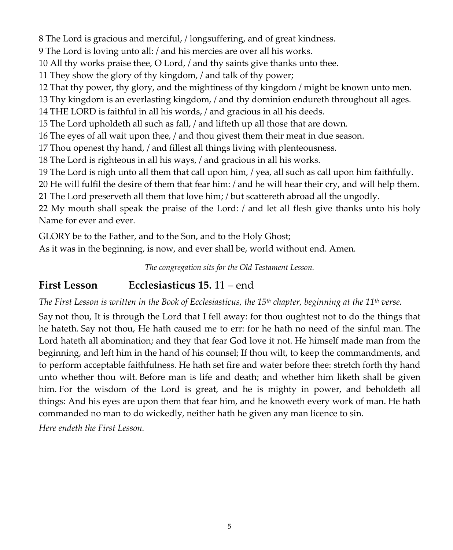8 The Lord is gracious and merciful, / longsuffering, and of great kindness.

9 The Lord is loving unto all: / and his mercies are over all his works.

10 All thy works praise thee, O Lord, / and thy saints give thanks unto thee.

11 They show the glory of thy kingdom, / and talk of thy power;

12 That thy power, thy glory, and the mightiness of thy kingdom / might be known unto men.

13 Thy kingdom is an everlasting kingdom, / and thy dominion endureth throughout all ages.

14 THE LORD is faithful in all his words, / and gracious in all his deeds.

15 The Lord upholdeth all such as fall, / and lifteth up all those that are down.

16 The eyes of all wait upon thee, / and thou givest them their meat in due season.

17 Thou openest thy hand, / and fillest all things living with plenteousness.

18 The Lord is righteous in all his ways, / and gracious in all his works.

19 The Lord is nigh unto all them that call upon him, / yea, all such as call upon him faithfully.

20 He will fulfil the desire of them that fear him: / and he will hear their cry, and will help them.

21 The Lord preserveth all them that love him; / but scattereth abroad all the ungodly.

22 My mouth shall speak the praise of the Lord: / and let all flesh give thanks unto his holy Name for ever and ever.

GLORY be to the Father, and to the Son, and to the Holy Ghost;

As it was in the beginning, is now, and ever shall be, world without end. Amen.

*The congregation sits for the Old Testament Lesson.*

## **First Lesson Ecclesiasticus 15.** 11 – end

The First Lesson is written in the Book of Ecclesiasticus, the  $15<sup>th</sup>$  chapter, beginning at the  $11<sup>th</sup>$  verse.

Say not thou, It is through the Lord that I fell away: for thou oughtest not to do the things that he hateth. Say not thou, He hath caused me to err: for he hath no need of the sinful man. The Lord hateth all abomination; and they that fear God love it not. He himself made man from the beginning, and left him in the hand of his counsel; If thou wilt, to keep the commandments, and to perform acceptable faithfulness. He hath set fire and water before thee: stretch forth thy hand unto whether thou wilt. Before man is life and death; and whether him liketh shall be given him. For the wisdom of the Lord is great, and he is mighty in power, and beholdeth all things: And his eyes are upon them that fear him, and he knoweth every work of man. He hath commanded no man to do wickedly, neither hath he given any man licence to sin.

*Here endeth the First Lesson.*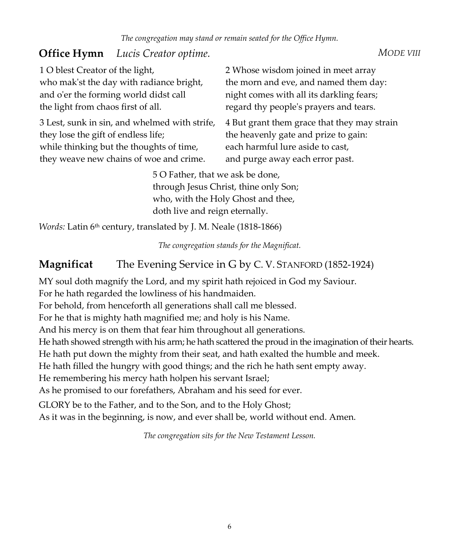## **Office Hymn** *Lucis Creator optime. MODE VIII*

3 Lest, sunk in sin, and whelmed with strife, they lose the gift of endless life; while thinking but the thoughts of time, they weave new chains of woe and crime.

2 Whose wisdom joined in meet array the morn and eve, and named them day: night comes with all its darkling fears; regard thy peopleʹs prayers and tears.

4 But grant them grace that they may strain the heavenly gate and prize to gain: each harmful lure aside to cast, and purge away each error past.

5 O Father, that we ask be done, through Jesus Christ, thine only Son; who, with the Holy Ghost and thee, doth live and reign eternally.

*Words: Latin 6<sup>th</sup>* century, translated by J. M. Neale (1818-1866)

*The congregation stands for the Magnificat.*

## **Magnificat** The Evening Service in G by C. V. STANFORD (1852‐1924)

MY soul doth magnify the Lord, and my spirit hath rejoiced in God my Saviour.

For he hath regarded the lowliness of his handmaiden.

For behold, from henceforth all generations shall call me blessed.

For he that is mighty hath magnified me; and holy is his Name.

And his mercy is on them that fear him throughout all generations.

He hath showed strength with his arm; he hath scattered the proud in the imagination of their hearts.

He hath put down the mighty from their seat, and hath exalted the humble and meek.

He hath filled the hungry with good things; and the rich he hath sent empty away.

He remembering his mercy hath holpen his servant Israel;

As he promised to our forefathers, Abraham and his seed for ever.

GLORY be to the Father, and to the Son, and to the Holy Ghost;

As it was in the beginning, is now, and ever shall be, world without end. Amen.

*The congregation sits for the New Testament Lesson.*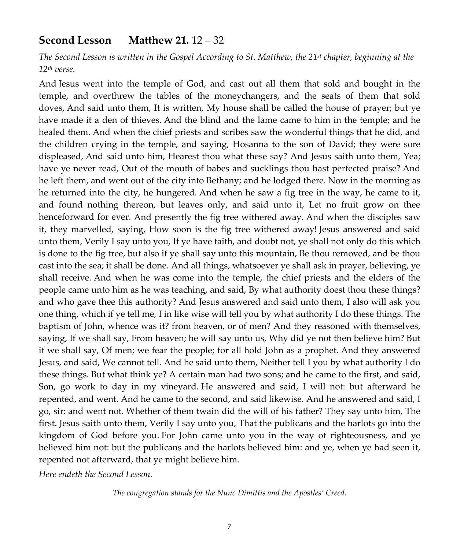#### **Second Lesson Matthew 21.** 12 – 32

The Second Lesson is written in the Gospel According to St. Matthew, the 21<sup>st</sup> chapter, beginning at the *12th verse.*

And Jesus went into the temple of God, and cast out all them that sold and bought in the temple, and overthrew the tables of the moneychangers, and the seats of them that sold doves, And said unto them, It is written, My house shall be called the house of prayer; but ye have made it a den of thieves. And the blind and the lame came to him in the temple; and he healed them. And when the chief priests and scribes saw the wonderful things that he did, and the children crying in the temple, and saying, Hosanna to the son of David; they were sore displeased, And said unto him, Hearest thou what these say? And Jesus saith unto them, Yea; have ye never read, Out of the mouth of babes and sucklings thou hast perfected praise? And he left them, and went out of the city into Bethany; and he lodged there. Now in the morning as he returned into the city, he hungered. And when he saw a fig tree in the way, he came to it, and found nothing thereon, but leaves only, and said unto it, Let no fruit grow on thee henceforward for ever. And presently the fig tree withered away. And when the disciples saw it, they marvelled, saying, How soon is the fig tree withered away! Jesus answered and said unto them, Verily I say unto you, If ye have faith, and doubt not, ye shall not only do this which is done to the fig tree, but also if ye shall say unto this mountain, Be thou removed, and be thou cast into the sea; it shall be done. And all things, whatsoever ye shall ask in prayer, believing, ye shall receive. And when he was come into the temple, the chief priests and the elders of the people came unto him as he was teaching, and said, By what authority doest thou these things? and who gave thee this authority? And Jesus answered and said unto them, I also will ask you one thing, which if ye tell me, I in like wise will tell you by what authority I do these things. The baptism of John, whence was it? from heaven, or of men? And they reasoned with themselves, saying, If we shall say, From heaven; he will say unto us, Why did ye not then believe him? But if we shall say, Of men; we fear the people; for all hold John as a prophet. And they answered Jesus, and said, We cannot tell. And he said unto them, Neither tell I you by what authority I do these things. But what think ye? A certain man had two sons; and he came to the first, and said, Son, go work to day in my vineyard. He answered and said, I will not: but afterward he repented, and went. And he came to the second, and said likewise. And he answered and said, I go, sir: and went not. Whether of them twain did the will of his father? They say unto him, The first. Jesus saith unto them, Verily I say unto you, That the publicans and the harlots go into the kingdom of God before you. For John came unto you in the way of righteousness, and ye believed him not: but the publicans and the harlots believed him: and ye, when ye had seen it, repented not afterward, that ye might believe him.

*Here endeth the Second Lesson.*

*The congregation stands for the Nunc Dimittis and the Apostles' Creed.*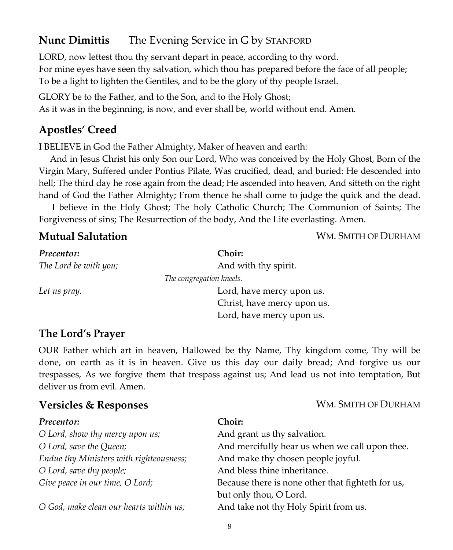## **Nunc Dimittis** The Evening Service in G by STANFORD

LORD, now lettest thou thy servant depart in peace, according to thy word. For mine eyes have seen thy salvation, which thou has prepared before the face of all people; To be a light to lighten the Gentiles, and to be the glory of thy people Israel.

GLORY be to the Father, and to the Son, and to the Holy Ghost;

As it was in the beginning, is now, and ever shall be, world without end. Amen.

#### **Apostles' Creed**

I BELIEVE in God the Father Almighty, Maker of heaven and earth:

 And in Jesus Christ his only Son our Lord, Who was conceived by the Holy Ghost, Born of the Virgin Mary, Suffered under Pontius Pilate, Was crucified, dead, and buried: He descended into hell; The third day he rose again from the dead; He ascended into heaven, And sitteth on the right hand of God the Father Almighty; From thence he shall come to judge the quick and the dead.

 I believe in the Holy Ghost; The holy Catholic Church; The Communion of Saints; The Forgiveness of sins; The Resurrection of the body, And the Life everlasting. Amen.

**Mutual Salutation** Mutual **Mutual Salutation** WM. SMITH OF DURHAM

| Precentor:            | <b>Choir:</b>               |  |
|-----------------------|-----------------------------|--|
| The Lord be with you; | And with thy spirit.        |  |
|                       | The congregation kneels.    |  |
| Let us pray.          | Lord, have mercy upon us.   |  |
|                       | Christ, have mercy upon us. |  |
|                       | Lord, have mercy upon us.   |  |

#### **The Lord's Prayer**

OUR Father which art in heaven, Hallowed be thy Name, Thy kingdom come, Thy will be done, on earth as it is in heaven. Give us this day our daily bread; And forgive us our trespasses, As we forgive them that trespass against us; And lead us not into temptation, But deliver us from evil. Amen.

#### **Versicles & Responses** WM. SMITH OF DURHAM

| Precentor:                              | Choir:                                            |
|-----------------------------------------|---------------------------------------------------|
| O Lord, show thy mercy upon us;         | And grant us thy salvation.                       |
| O Lord, save the Queen;                 | And mercifully hear us when we call upon thee.    |
| Endue thy Ministers with righteousness; | And make thy chosen people joyful.                |
| O Lord, save thy people;                | And bless thine inheritance.                      |
| Give peace in our time, O Lord;         | Because there is none other that fighteth for us, |
|                                         | but only thou, O Lord.                            |
| O God, make clean our hearts within us; | And take not thy Holy Spirit from us.             |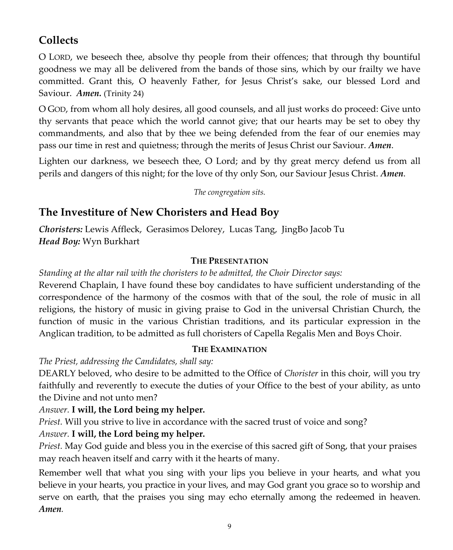## **Collects**

O LORD, we beseech thee, absolve thy people from their offences; that through thy bountiful goodness we may all be delivered from the bands of those sins, which by our frailty we have committed. Grant this, O heavenly Father, for Jesus Christ's sake, our blessed Lord and Saviour. Amen. (Trinity 24)

O GOD, from whom all holy desires, all good counsels, and all just works do proceed: Give unto thy servants that peace which the world cannot give; that our hearts may be set to obey thy commandments, and also that by thee we being defended from the fear of our enemies may pass our time in rest and quietness; through the merits of Jesus Christ our Saviour. *Amen*.

Lighten our darkness, we beseech thee, O Lord; and by thy great mercy defend us from all perils and dangers of this night; for the love of thy only Son, our Saviour Jesus Christ. *Amen*.

*The congregation sits.*

## **The Investiture of New Choristers and Head Boy**

*Choristers:* Lewis Affleck, Gerasimos Delorey, Lucas Tang, JingBo Jacob Tu *Head Boy:* Wyn Burkhart

#### **THE PRESENTATION**

*Standing at the altar rail with the choristers to be admitted, the Choir Director says:*

Reverend Chaplain, I have found these boy candidates to have sufficient understanding of the correspondence of the harmony of the cosmos with that of the soul, the role of music in all religions, the history of music in giving praise to God in the universal Christian Church, the function of music in the various Christian traditions, and its particular expression in the Anglican tradition, to be admitted as full choristers of Capella Regalis Men and Boys Choir.

#### **THE EXAMINATION**

*The Priest, addressing the Candidates, shall say:*

DEARLY beloved, who desire to be admitted to the Office of *Chorister* in this choir, will you try faithfully and reverently to execute the duties of your Office to the best of your ability, as unto the Divine and not unto men?

*Answer.* **I will, the Lord being my helper.**

*Priest.* Will you strive to live in accordance with the sacred trust of voice and song?

#### *Answer.* **I will, the Lord being my helper.**

*Priest.* May God guide and bless you in the exercise of this sacred gift of Song, that your praises may reach heaven itself and carry with it the hearts of many.

Remember well that what you sing with your lips you believe in your hearts, and what you believe in your hearts, you practice in your lives, and may God grant you grace so to worship and serve on earth, that the praises you sing may echo eternally among the redeemed in heaven. *Amen.*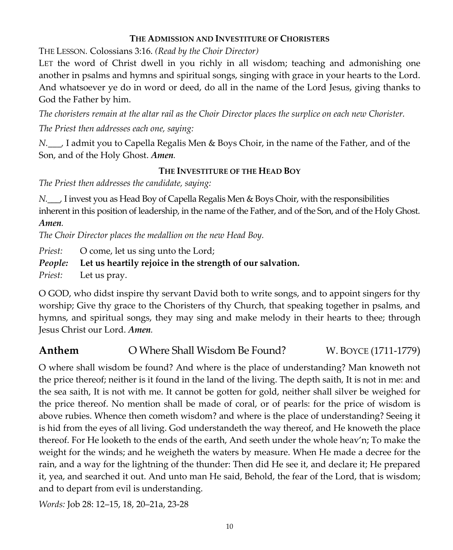#### **THE ADMISSION AND INVESTITURE OF CHORISTERS**

THE LESSON*.* Colossians 3:16. *(Read by the Choir Director)*

LET the word of Christ dwell in you richly in all wisdom; teaching and admonishing one another in psalms and hymns and spiritual songs, singing with grace in your hearts to the Lord. And whatsoever ye do in word or deed, do all in the name of the Lord Jesus, giving thanks to God the Father by him.

The choristers remain at the altar rail as the Choir Director places the surplice on each new Chorister. *The Priest then addresses each one, saying:*

*N.\_\_\_,* I admit you to Capella Regalis Men & Boys Choir, in the name of the Father, and of the Son, and of the Holy Ghost. *Amen.*

#### **THE INVESTITURE OF THE HEAD BOY**

*The Priest then addresses the candidate, saying:*

*N.\_\_\_,* I invest you as Head Boy of Capella Regalis Men & Boys Choir, with the responsibilities inherent in this position of leadership, in the name of the Father, and of the Son, and of the Holy Ghost. *Amen.*

*The Choir Director places the medallion on the new Head Boy.*

*Priest:* O come, let us sing unto the Lord;

#### *People:* **Let us heartily rejoice in the strength of our salvation.**

*Priest:* Let us pray.

O GOD, who didst inspire thy servant David both to write songs, and to appoint singers for thy worship; Give thy grace to the Choristers of thy Church, that speaking together in psalms, and hymns, and spiritual songs, they may sing and make melody in their hearts to thee; through Jesus Christ our Lord. *Amen.*

## **Anthem** O Where Shall Wisdom Be Found? W. BOYCE (1711-1779)

O where shall wisdom be found? And where is the place of understanding? Man knoweth not the price thereof; neither is it found in the land of the living. The depth saith, It is not in me: and the sea saith, It is not with me. It cannot be gotten for gold, neither shall silver be weighed for the price thereof. No mention shall be made of coral, or of pearls: for the price of wisdom is above rubies. Whence then cometh wisdom? and where is the place of understanding? Seeing it is hid from the eyes of all living. God understandeth the way thereof, and He knoweth the place thereof. For He looketh to the ends of the earth, And seeth under the whole heav'n; To make the weight for the winds; and he weigheth the waters by measure. When He made a decree for the rain, and a way for the lightning of the thunder: Then did He see it, and declare it; He prepared it, yea, and searched it out. And unto man He said, Behold, the fear of the Lord, that is wisdom; and to depart from evil is understanding.

*Words:* Job 28: 12–15, 18, 20–21a, 23‐28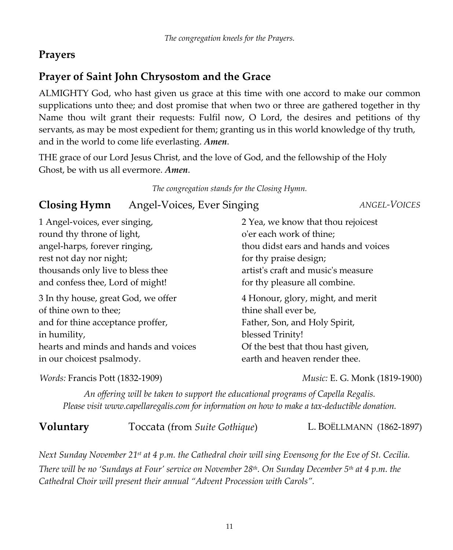## **Prayers**

## **Prayer of Saint John Chrysostom and the Grace**

ALMIGHTY God, who hast given us grace at this time with one accord to make our common supplications unto thee; and dost promise that when two or three are gathered together in thy Name thou wilt grant their requests: Fulfil now, O Lord, the desires and petitions of thy servants, as may be most expedient for them; granting us in this world knowledge of thy truth, and in the world to come life everlasting. *Amen*.

THE grace of our Lord Jesus Christ, and the love of God, and the fellowship of the Holy Ghost, be with us all evermore. *Amen*.

*The congregation stands for the Closing Hymn.*

## **Closing Hymn** Angel‐Voices, Ever Singing *ANGEL‐VOICES*

| 1 Angel-voices, ever singing,         | 2 Yea, we know that thou rejoicest   |
|---------------------------------------|--------------------------------------|
| round thy throne of light,            | o'er each work of thine;             |
| angel-harps, forever ringing,         | thou didst ears and hands and voices |
| rest not day nor night;               | for thy praise design;               |
| thousands only live to bless thee     | artist's craft and music's measure   |
| and confess thee, Lord of might!      | for thy pleasure all combine.        |
| 3 In thy house, great God, we offer   | 4 Honour, glory, might, and merit    |
| of thine own to thee;                 | thine shall ever be,                 |
| and for thine acceptance proffer,     | Father, Son, and Holy Spirit,        |
| in humility,                          | blessed Trinity!                     |
| hearts and minds and hands and voices | Of the best that thou hast given,    |
| in our choicest psalmody.             | earth and heaven render thee.        |

*Words:* Francis Pott (1832‐1909) *Music:* E. G. Monk (1819‐1900)

*An offering will be taken to support the educational programs of Capella Regalis. Please visit www.capellaregalis.com for information on how to make a tax‐deductible donation.*

**Voluntary** Toccata (from *Suite Gothique*) L. BOËLLMANN (1862‐1897)

Next Sunday November 21st at 4 p.m. the Cathedral choir will sing Evensong for the Eve of St. Cecilia. There will be no 'Sundays at Four' service on November 28<sup>th</sup>. On Sunday December 5<sup>th</sup> at 4 p.m. the *Cathedral Choir will present their annual "Advent Procession with Carols".*